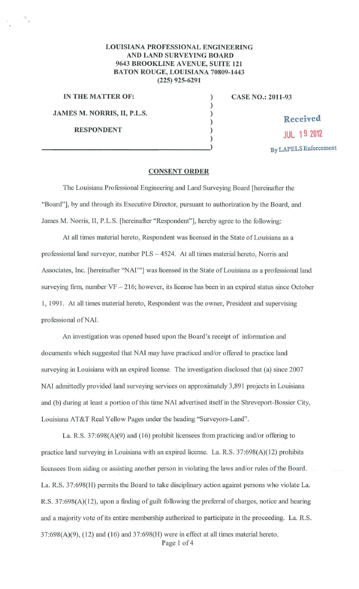## **LOUISIANA PROFESSIONAL ENGINEERING AND LAND SURVEYING BOARD 9643 BROOKLINE A VENUE, SUITE 121 BATON ROUGE, LOUISIANA 70809-1443 (225) 925-6291**

) ) ) )

)

**IN THE MATTER OF:** ) **JAMES M. NORRIS, II, P.L.S.** 

**CASE NO.: 2011-93** 

**Received RESPONDENT**<br>
(a)<br>
(b)<br>  $B_{\rm y}$  LAPELS Enforcement

## **CONSENT ORDER**

The Louisiana Professional Engineering and Land Surveying Board [hereinafter the "Board"], by and through its Executive Director, pursuant to authorization by the Board, and James M. Norris, II, P.L.S. [hereinafter "Respondent"], hereby agree to the following:

At all times material hereto, Respondent was licensed in the State of Louisiana as a professional land surveyor, number PLS- 4524. At all times material hereto, Norris and Associates, Inc. [hereinafter "NAI""] was licensed in the State of Louisiana as a professional land surveying firm, number  $VF - 216$ ; however, its license has been in an expired status since October 1, 1991. At all times material hereto, Respondent was the owner, President and supervising professional of NAI.

An investigation was opened based upon the Board's receipt of information and documents which suggested that NAI may have practiced and/or offered to practice land surveying in Louisiana with an expired license. The investigation disclosed that (a) since 2007 NAI admittedly provided land surveying services on approximately 3,891 projects in Louisiana and (b) during at least a portion of this time NAI advertised itself in the Shreveport-Bossier City, Louisiana AT&T Real Yellow Pages under the heading "Surveyors-Land".

La. R.S. 37:698(A)(9) and (16) prohibit licensees from practicing and/or offering to practice land surveying in Louisiana with an expired license. La. R.S. 37:698(A)(12) prohibits licensees fiom aiding or assisting another person in violating the laws and/or rules ofthe Board. La. R.S. 37:698(H) permits the Board to take disciplinary action against persons who violate La. R.S. 37:698(A)(12), upon a finding of guilt following the preferral of charges, notice and hearing and a majority vote of its entire membership authorized to participate in the proceeding. La. R.S.  $37:698(A)(9)$ ,  $(12)$  and  $(16)$  and  $37:698(H)$  were in effect at all times material hereto.

Page 1 of 4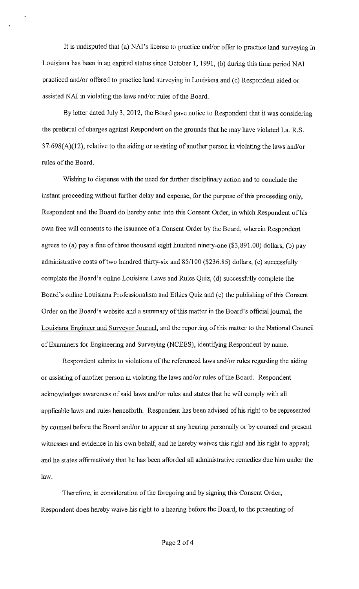It is undisputed that (a) NAI's license to practice and/or offer to practice land surveying in Louisiana has been in an expired status since October 1, 1991, (b) during this time period NAI practiced and/or offered to practice land surveying in Louisiana and (c) Respondent aided or assisted NAI in violating the laws and/or rules of the Board.

By letter dated July 3, 2012, the Board gave notice to Respondent that it was considering the preferral of charges against Respondent on the grounds that he may have violated La. R.S. 37:698(A)(l2), relative to the aiding or assisting of another person in violating the laws and/or rules of the Board.

Wishing to dispense with the need for further disciplinary action and to conclude the instant proceeding without further delay and expense, for the purpose of this proceeding only, Respondent and the Board do hereby enter into this Consent Order, in which Respondent of his own free will consents to the issuance of a Consent Order by the Board, wherein Respondent agrees to (a) pay a fine of three thousand eight hundred ninety-one  $(\$3,891.00)$  dollars, (b) pay administrative costs of two hundred thirty-six and 85/100 (\$236.85) dollars, (c) successfully complete the Board's online Louisiana Laws and Rules Quiz, (d) successfully complete the Board's online Louisiana Professionalism and Ethics Quiz and (e) the publishing of this Consent Order on the Board's website and a smmnary of this matter in the Board's official journal, the Louisiana Engineer and Surveyor Journal, and the reporting of this matter to the National Council of Examiners for Engineering and Surveying (NCEES), identifying Respondent by name.

Respondent admits to violations of the referenced laws and/or rules regarding the aiding or assisting of another person in violating the laws and/or mles of the Board. Respondent acknowledges awareness of said laws and/or rules and states that he will comply with all applicable laws and rules henceforth. Respondent has been advised of his right to be represented by counsel before the Board and/or to appear at any hearing personally or by counsel and present witnesses and evidence in his own behalf, and he hereby waives this right and his right to appeal; and he states affirmatively that he has been afforded all administrative remedies due him under the law.

Therefore, in consideration of the foregoing and by signing this Consent Order, Respondent does hereby waive his right to a hearing before the Board, to the presenting of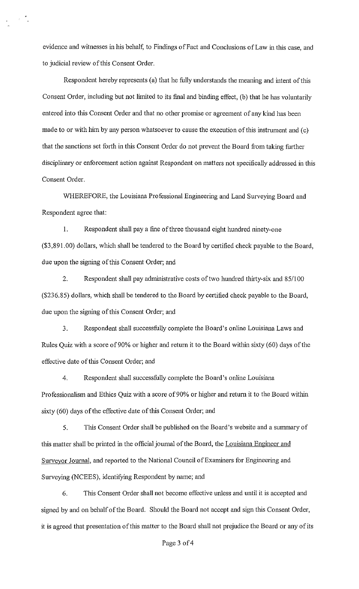evidence and witnesses in his behalf, to Findings of Fact and Conclusions of Law in this case, and to judicial review of this Consent Order.

Respondent hereby represents (a) that he fully understands the meaning and intent of this Consent Order, including but not limited to its final and binding effect, (b) that he has voluntarily entered into this Consent Order and that no other promise or agreement of any kind has been made to or with him by any person whatsoever to cause the execution of this instrument and (c) that the sanctions set forth in this Consent Order do not prevent the Board from taking further disciplinary or enforcement action against Respondent on matters not specifically addressed in this Consent Order.

WHEREFORE, the Louisiana Professional Engineering and Land Surveying Board and Respondent agree that:

I. Respondent shall pay a fine of three thousand eight hundred ninety-one (\$3,891.00) dollars, which shall be tendered to the Board by certified check payable to the Board, due upon the signing of this Consent Order; and

2. Respondent shall pay administrative costs of two hundred thirty-six and 85/100 (\$236.85) dollars, which shall be tendered to the Board by certified check payable to the Board, due upon the signing of this Consent Order; and

3. Respondent shall successfully complete the Board's online Louisiana Laws and Rules Quiz with a score of 90% or higher and return it to the Board within sixty (60) days of the effective date of this Consent Order; and

4. Respondent shall successfully complete the Board's online Louisiana Professionalism and Ethics Quiz with a score of 90% or higher and return it to the Board within sixty (60) days of the effective date of this Consent Order; and

5. This Consent Order shall be published on the Board's website and a sununary of this matter shall be printed in the official journal of the Board, the Louisiana Engineer and Surveyor Journal, and reported to the National Council of Examiners for Engineering and Surveying (NCEES), identifying Respondent by name; and

6. This Consent Order shall not become effective unless and until it is accepted and signed by and on behalf of the Board. Should the Board not accept and sign this Consent Order, it is agreed that presentation of this matter to the Board shall not prejudice the Board or any of its